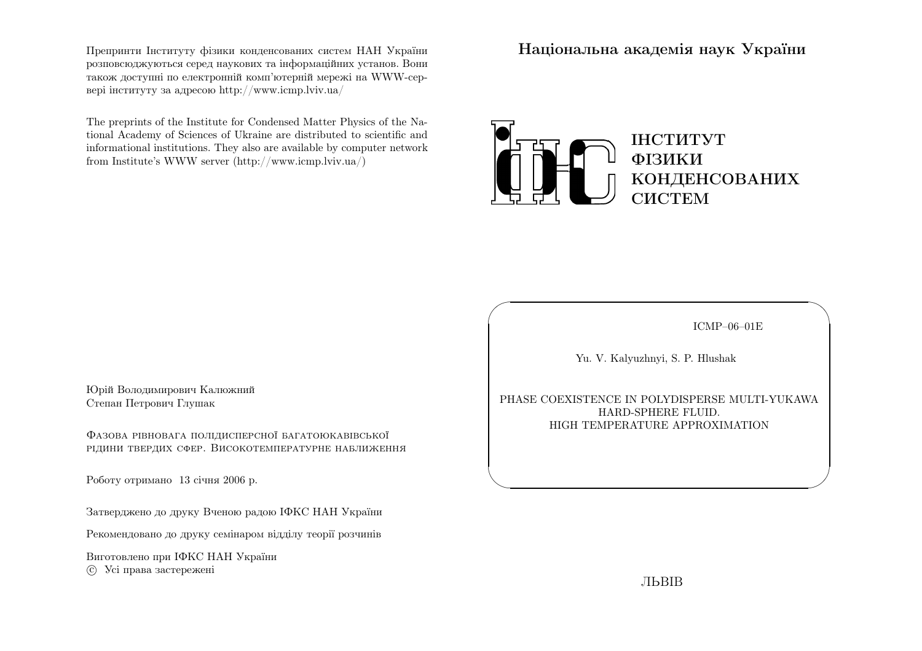Препринти Iнституту фiзики конденсованих систем НАН України розповсюджуються серед наукових та iнформацiйних установ. Вони також доступн<sup>i</sup> по електроннiй комп'ютернiй мереж<sup>i</sup> на WWW-сервер<sup>i</sup> iнституту за адресою http://www.icmp.lviv.ua/

The preprints of the Institute for Condensed Matter Physics of the National Academy of Sciences of Ukraine are distributed to scientific and informational institutions. They also are available by computer networkfrom Institute's WWW server (http://www.icmp.lviv.ua/)

Нацiональна академiя наук України



ICMP–06–01E

✩

 $\mathcal{S}$ 

Yu. V. Kalyuzhnyi, S. P. Hlushak

 $\sqrt{a}$ 

 $\setminus$ 

PHASE COEXISTENCE IN POLYDISPERSE MULTI-YUKAWAHARD-SPHERE FLUID. HIGH TEMPERATURE APPROXIMATION

Юрiй Володимирович КалюжнийСтепан Петрович Глушак

Фазова рiвновага полiдисперсної багатоюкавiвської рiдини твердих сфер. Високотемпературне наближення

Роботу отримано <sup>13</sup> сiчня <sup>2006</sup> р.

Затверджено до друку Вченою радою IФКС НАН України

Рекомендовано до друку семiнаром вiддiлу теорiї розчинiв

Виготовлено при IФКС НАН Україниc Усi права застережен<sup>i</sup>

ЛЬВIВ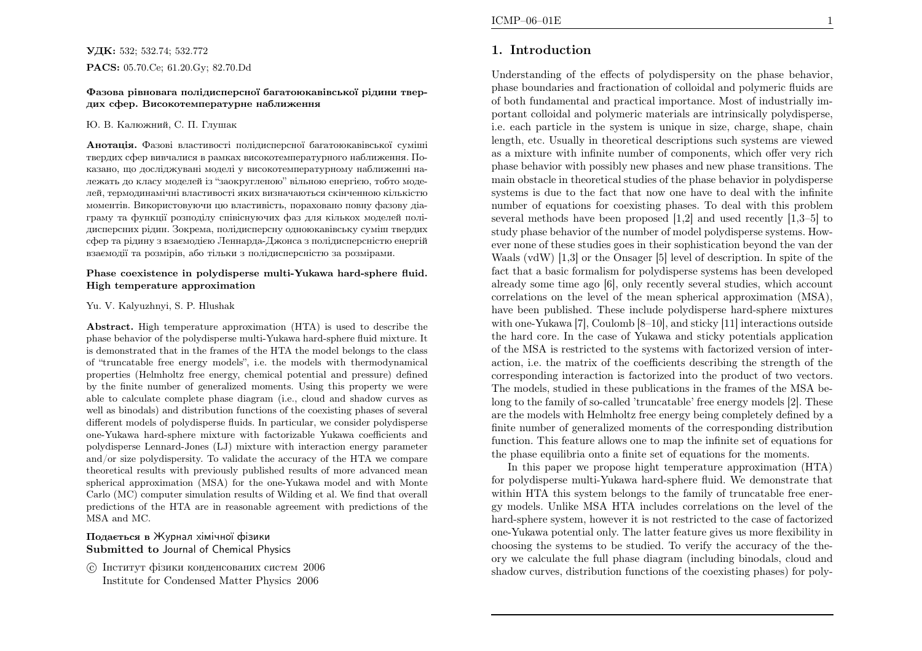### **УДК:** 532; 532.74; 532.772 PACS: 05.70.Ce; 61.20.Gy; 82.70.Dd

#### Фазова <sup>р</sup>iвновага полiдисперсної багатоюкавiвської <sup>р</sup>iдини твердих сфер. Високотемпературне наближення

#### Ю. В. Калюжний, С. П. Глушак

**Анотація.** Фазові властивості полідисперсної багатоюкавівської суміші твердих сфер вивчалися <sup>в</sup> рамках високотемпературного наближення. Показано, що дослiджуванi моделi <sup>у</sup> високотемпературному наближеннi належать до класу моделей iз "заокругленою" вiльною енергiєю, тобто моделей, термодинамiчнi властивостi яких визначаються скiнченною кiлькiстю моментiв. Використовуючи цю властивiсть, пораховано повну фазову дiаграму та функцiї розподiлу спiвiснуючих фаз для кiлькох моделей полiдисперсних <sup>р</sup>iдин. Зокрема, полiдисперсну одноюкавiвську сумiш твердих сфер та <sup>р</sup>iдину <sup>з</sup> взаємодiєю Леннарда-Джонса <sup>з</sup> полiдисперснiстю енергiйвзаємодiї та розмiрiв, або тiльки <sup>з</sup> полiдисперснiстю за розмiрами.

#### Phase coexistence in polydisperse multi-Yukawa hard-sphere fluid. High temperature approximation

#### Yu. V. Kalyuzhnyi, S. P. Hlushak

Abstract. High temperature approximation (HTA) is used to describe the <sup>p</sup>hase behavior of the polydisperse multi-Yukawa hard-sphere fluid mixture. It is demonstrated that in the frames of the HTA the model belongs to the class of "truncatable free energy models", i.e. the models with thermodynamical properties (Helmholtz free energy, chemical potential and pressure) defined by the finite number of generalized moments. Using this property we were able to calculate complete <sup>p</sup>hase diagram (i.e., cloud and shadow curves as well as binodals) and distribution functions of the coexisting <sup>p</sup>hases of several different models of polydisperse fluids. In particular, we consider polydisperse one-Yukawa hard-sphere mixture with factorizable Yukawa coefficients and polydisperse Lennard-Jones (LJ) mixture with interaction energy parameter and/or size polydispersity. To validate the accuracy of the HTA we compare theoretical results with previously published results of more advanced mean spherical approximation (MSA) for the one-Yukawa model and with Monte Carlo (MC) computer simulation results of Wilding et al. We find that overall predictions of the HTA are in reasonable agreement with predictions of theMSA and MC.

## Подається <sup>в</sup> Журнал хiмiчної фiзикиSubmitted to Journal of Chemical Physics

 c Iнститут фiзики конденсованих систем <sup>2006</sup>Institute for Condensed Matter Physics <sup>2006</sup>

# 1. Introduction

Understanding of the effects of polydispersity on the <sup>p</sup>hase behavior, <sup>p</sup>hase boundaries and fractionation of colloidal and polymeric fluids are of both fundamental and practical importance. Most of industrially important colloidal and polymeric materials are intrinsically polydisperse, i.e. each particle in the system is unique in size, charge, shape, chain length, etc. Usually in theoretical descriptions such systems are viewed as <sup>a</sup> mixture with infinite number of components, which offer very rich <sup>p</sup>hase behavior with possibly new <sup>p</sup>hases and new <sup>p</sup>hase transitions. The main obstacle in theoretical studies of the <sup>p</sup>hase behavior in polydisperse systems is due to the fact that now one have to deal with the infinite number of equations for coexisting <sup>p</sup>hases. To deal with this problem several methods have been proposed [1,2] and used recently [1,3–5] to study <sup>p</sup>hase behavior of the number of model polydisperse systems. However none of these studies goes in their sophistication beyond the van der Waals (vdW) [1,3] or the Onsager [5] level of description. In spite of the fact that <sup>a</sup> basic formalism for polydisperse systems has been developed already some time ago [6], only recently several studies, which account correlations on the level of the mean spherical approximation (MSA), have been published. These include polydisperse hard-sphere mixtures with one-Yukawa [7], Coulomb [8–10], and sticky [11] interactions outside the hard core. In the case of Yukawa and sticky potentials application of the MSA is restricted to the systems with factorized version of interaction, i.e. the matrix of the coefficients describing the strength of the corresponding interaction is factorized into the product of two vectors. The models, studied in these publications in the frames of the MSA belong to the family of so-called 'truncatable' free energy models [2]. These are the models with Helmholtz free energy being completely defined by <sup>a</sup> finite number of generalized moments of the corresponding distribution function. This feature allows one to map the infinite set of equations forthe <sup>p</sup>hase equilibria onto <sup>a</sup> finite set of equations for the moments.

In this paper we propose hight temperature approximation (HTA) for polydisperse multi-Yukawa hard-sphere fluid. We demonstrate that within HTA this system belongs to the family of truncatable free energy models. Unlike MSA HTA includes correlations on the level of the hard-sphere system, however it is not restricted to the case of factorized one-Yukawa potential only. The latter feature <sup>g</sup>ives us more flexibility in choosing the systems to be studied. To verify the accuracy of the theory we calculate the full <sup>p</sup>hase diagram (including binodals, cloud andshadow curves, distribution functions of the coexisting <sup>p</sup>hases) for poly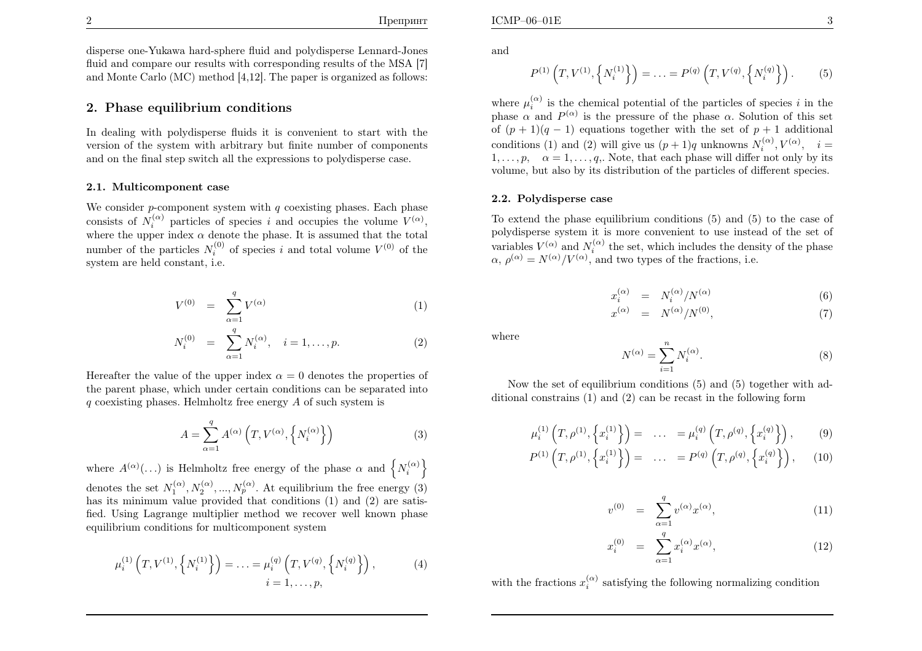disperse one-Yukawa hard-sphere fluid and polydisperse Lennard-Jonesfluid and compare our results with corresponding results of the MSA [7] and Monte Carlo (MC) method [4,12]. The paper is organized as follows:

## 2. Phase equilibrium conditions

In dealing with polydisperse fluids it is convenient to start with the version of the system with arbitrary but finite number of componentsand on the final step switch all the expressions to polydisperse case.

### 2.1. Multicomponent case

We consider p-component system with q coexisting phases. Each phase consists of  $N_i^{(\alpha)}$  particles of species i and occupies the volume  $V^{(\alpha)}$ , where the upper index  $\alpha$  denote the phase. It is assumed that the total number of the particles  $N_i^{(0)}$  of species i and total volume  $V^{(0)}$  of the system are held constant, i.e.

$$
V^{(0)} = \sum_{\alpha=1}^{q} V^{(\alpha)} \tag{1}
$$

$$
N_i^{(0)} = \sum_{\alpha=1}^q N_i^{(\alpha)}, \quad i = 1, \dots, p. \tag{2}
$$

Hereafter the value of the upper index  $\alpha = 0$  denotes the properties of the parent <sup>p</sup>hase, which under certain conditions can be separated into $q$  coexisting phases. Helmholtz free energy  $A$  of such system is

$$
A = \sum_{\alpha=1}^{q} A^{(\alpha)}\left(T, V^{(\alpha)}, \left\{N_i^{(\alpha)}\right\}\right) \tag{3}
$$

where  $A^{(\alpha)}(\ldots)$  is Helmholtz free energy of the phase  $\alpha$  and  $\left\{N_i^{(\alpha)}\right\}$ denotes the set  $N_1^{(\alpha)}, N_2^{(\alpha)}, ..., N_p^{(\alpha)}$ . At equilibrium the free energy (3) has its minimum value provided that conditions (1) and (2) are satisfied. Using Lagrange multiplier method we recover well known <sup>p</sup>hase equilibrium conditions for multicomponent system

$$
\mu_i^{(1)}\left(T, V^{(1)}, \left\{N_i^{(1)}\right\}\right) = \ldots = \mu_i^{(q)}\left(T, V^{(q)}, \left\{N_i^{(q)}\right\}\right),
$$
\n(4)\n  
\n
$$
i = 1, \ldots, p,
$$

and

$$
P^{(1)}\left(T, V^{(1)}, \left\{N_i^{(1)}\right\}\right) = \ldots = P^{(q)}\left(T, V^{(q)}, \left\{N_i^{(q)}\right\}\right). \tag{5}
$$

where  $\mu_i^{(\alpha)}$  is the chemical potential of the particles of species i in the phase  $\alpha$  and  $P^{(\alpha)}$  is the pressure of the phase  $\alpha$ . Solution of this set of  $(p+1)(q-1)$  equations together with the set of  $p+1$  additional conditions (1) and (2) will give us  $(p+1)q$  unknowns  $N_i^{(\alpha)}, V^{(\alpha)}, i =$  $1, \ldots, p, \alpha = 1, \ldots, q$ . Note, that each phase will differ not only by its volume, but also by its distribution of the particles of different species.

### 2.2. Polydisperse case

To extend the <sup>p</sup>hase equilibrium conditions (5) and (5) to the case of polydisperse system it is more convenient to use instead of the set of variables  $V^{(\alpha)}$  and  $N_i^{(\alpha)}$  the set, which includes the density of the phase  $\alpha$ ,  $\rho^{(\alpha)} = N^{(\alpha)}/V^{(\alpha)}$ , and two types of the fractions, i.e.

$$
x_i^{(\alpha)} = N_i^{(\alpha)}/N^{(\alpha)} \tag{6}
$$

$$
x^{(\alpha)} = N^{(\alpha)}/N^{(0)}, \tag{7}
$$

where

$$
N^{(\alpha)} = \sum_{i=1}^{n} N_i^{(\alpha)}.
$$
\n(8)

Now the set of equilibrium conditions (5) and (5) together with additional constrains (1) and (2) can be recast in the following form

$$
\mu_i^{(1)}\left(T,\rho^{(1)},\left\{x_i^{(1)}\right\}\right) = \ldots = \mu_i^{(q)}\left(T,\rho^{(q)},\left\{x_i^{(q)}\right\}\right),\qquad(9)
$$

$$
P^{(1)}\left(T,\rho^{(1)},\left\{x_i^{(1)}\right\}\right) = \ldots = P^{(q)}\left(T,\rho^{(q)},\left\{x_i^{(q)}\right\}\right), \quad (10)
$$

$$
v^{(0)} = \sum_{\alpha=1}^{q} v^{(\alpha)} x^{(\alpha)}, \tag{11}
$$

$$
x_i^{(0)} = \sum_{\alpha=1}^q x_i^{(\alpha)} x^{(\alpha)}, \tag{12}
$$

with the fractions  $x_i^{(\alpha)}$  satisfying the following normalizing condition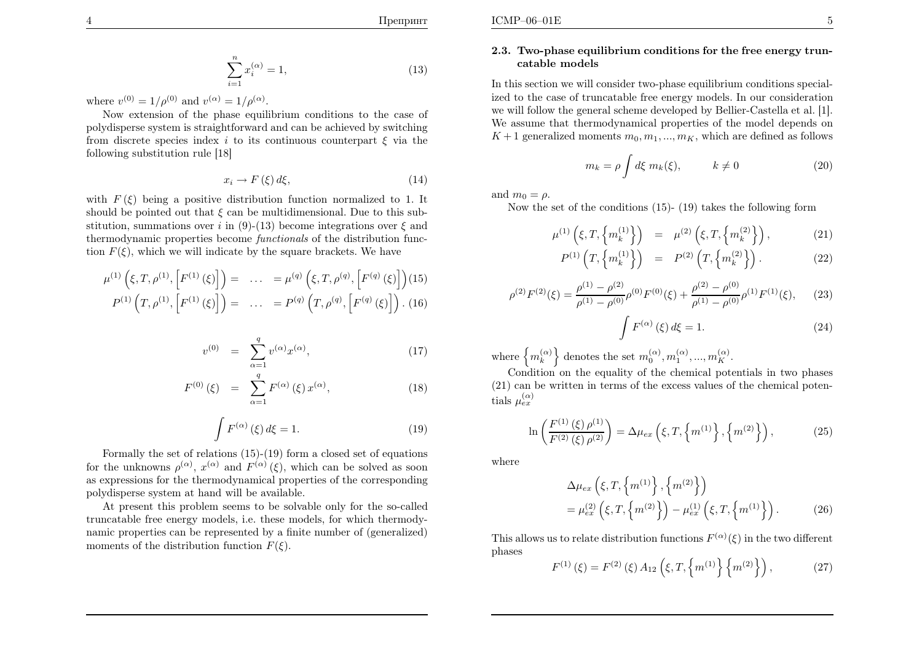$$
\mathcal{L}(\mathcal{L}(\mathcal{L})) = \mathcal{L}(\mathcal{L}(\mathcal{L}))
$$

$$
\sum_{i=1}^{n} x_i^{(\alpha)} = 1,\t\t(13)
$$

where  $v^{(0)} = 1/\rho^{(0)}$  and  $v^{(\alpha)} = 1/\rho^{(\alpha)}$ .

Now extension of the <sup>p</sup>hase equilibrium conditions to the case of polydisperse system is straightforward and can be achieved by switching from discrete species index i to its continuous counterpart  $\xi$  via the following substitution rule [18]

$$
x_i \to F(\xi) d\xi,\tag{14}
$$

with  $F(\xi)$  being a positive distribution function normalized to 1. It should be pointed out that  $\xi$  can be multidimensional. Due to this substitution, summations over i in (9)-(13) become integrations over  $\xi$  and thermodynamic properties become *functionals* of the distribution function  $F(\xi)$ , which we will indicate by the square brackets. We have

$$
\mu^{(1)}\left(\xi, T, \rho^{(1)}, \left[F^{(1)}\left(\xi\right)\right]\right) = \dots = \mu^{(q)}\left(\xi, T, \rho^{(q)}, \left[F^{(q)}\left(\xi\right)\right]\right)
$$
\n
$$
P^{(1)}\left(T, \rho^{(1)}, \left[F^{(1)}\left(\xi\right)\right]\right) = \dots = P^{(q)}\left(T, \rho^{(q)}, \left[F^{(q)}\left(\xi\right)\right]\right). \tag{16}
$$

$$
v^{(0)} = \sum_{\alpha=1}^{q} v^{(\alpha)} x^{(\alpha)}, \tag{17}
$$

$$
F^{(0)}(\xi) = \sum_{\alpha=1}^{q} F^{(\alpha)}(\xi) x^{(\alpha)}, \qquad (18)
$$

$$
\int F^{(\alpha)}(\xi) d\xi = 1.
$$
\n(19)

Formally the set of relations (15)-(19) form <sup>a</sup> closed set of equationsfor the unknowns  $\rho^{(\alpha)}$ ,  $x^{(\alpha)}$  and  $F^{(\alpha)}(\xi)$ , which can be solved as soon as expressions for the thermodynamical properties of the correspondingpolydisperse system at hand will be available.

At present this problem seems to be solvable only for the so-called truncatable free energy models, i.e. these models, for which thermodynamic properties can be represented by <sup>a</sup> finite number of (generalized)moments of the distribution function  $F(\xi)$ .

### 2.3. Two-phase equilibrium conditions for the free energy truncatable models

In this section we will consider two-phase equilibrium conditions specialized to the case of truncatable free energy models. In our consideration we will follow the genera<sup>l</sup> scheme developed by Bellier-Castella et al. [1]. We assume that thermodynamical properties of the model depends on $K+1$  generalized moments  $m_0, m_1, ..., m_K$ , which are defined as follows

$$
m_k = \rho \int d\xi \; m_k(\xi), \qquad k \neq 0 \tag{20}
$$

and  $m_0 = \rho$ .

Now the set of the conditions (15)- (19) takes the following form

$$
\mu^{(1)}\left(\xi, T, \left\{m_k^{(1)}\right\}\right) = \mu^{(2)}\left(\xi, T, \left\{m_k^{(2)}\right\}\right),\tag{21}
$$

$$
P^{(1)}\left(T, \left\{m_k^{(1)}\right\}\right) = P^{(2)}\left(T, \left\{m_k^{(2)}\right\}\right). \tag{22}
$$

$$
\rho^{(2)}F^{(2)}(\xi) = \frac{\rho^{(1)} - \rho^{(2)}}{\rho^{(1)} - \rho^{(0)}} \rho^{(0)}F^{(0)}(\xi) + \frac{\rho^{(2)} - \rho^{(0)}}{\rho^{(1)} - \rho^{(0)}} \rho^{(1)}F^{(1)}(\xi), \qquad (23)
$$

$$
\int F^{(\alpha)}(\xi) d\xi = 1.
$$
\n(24)

where  $\{m_k^{(\alpha)}\}$  denotes the set  $m_0^{(\alpha)}, m_1^{(\alpha)}, ..., m_K^{(\alpha)}\}$ 

 Condition on the equality of the chemical potentials in two <sup>p</sup>hases (21) can be written in terms of the excess values of the chemical potentials  $\mu_{ex}^{(\alpha)}$ 

$$
\ln\left(\frac{F^{(1)}(\xi)\,\rho^{(1)}}{F^{(2)}(\xi)\,\rho^{(2)}}\right) = \Delta\mu_{ex}\left(\xi, T, \left\{m^{(1)}\right\}, \left\{m^{(2)}\right\}\right),\tag{25}
$$

where

$$
\Delta \mu_{ex} \left( \xi, T, \left\{ m^{(1)} \right\}, \left\{ m^{(2)} \right\} \right) \n= \mu_{ex}^{(2)} \left( \xi, T, \left\{ m^{(2)} \right\} \right) - \mu_{ex}^{(1)} \left( \xi, T, \left\{ m^{(1)} \right\} \right).
$$
\n(26)

This allows us to relate distribution functions  $F^{(\alpha)}(\xi)$  in the two different phases

$$
F^{(1)}(\xi) = F^{(2)}(\xi) A_{12}(\xi, T, \{m^{(1)}\} \{m^{(2)}\}), \qquad (27)
$$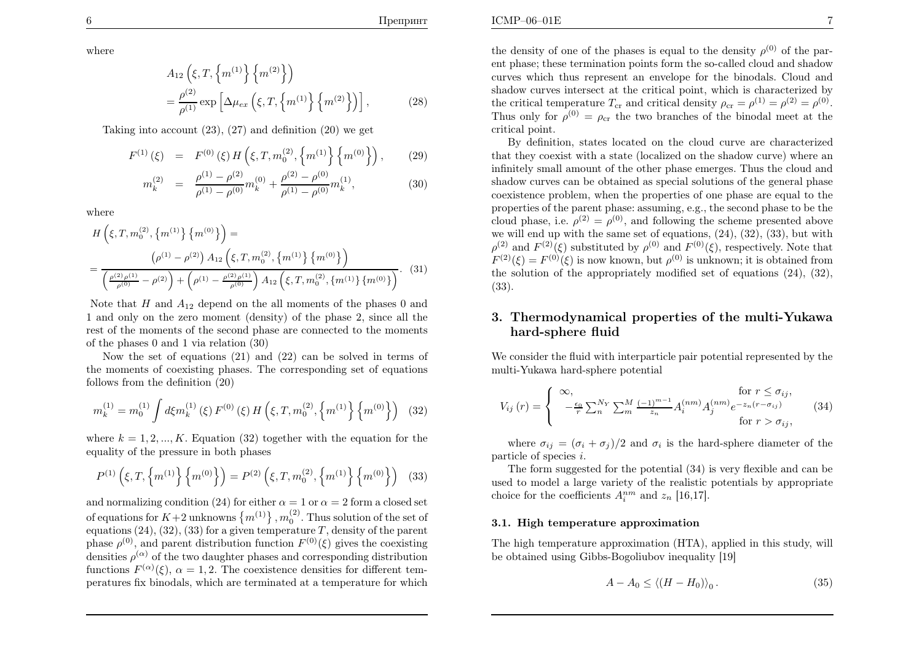where

$$
A_{12}\left(\xi, T, \left\{m^{(1)}\right\} \left\{m^{(2)}\right\}\right) = \frac{\rho^{(2)}}{\rho^{(1)}} \exp\left[\Delta \mu_{ex}\left(\xi, T, \left\{m^{(1)}\right\} \left\{m^{(2)}\right\}\right)\right],
$$
(28)

Taking into account  $(23)$ ,  $(27)$  and definition  $(20)$  we get

$$
F^{(1)}(\xi) = F^{(0)}(\xi) H(\xi, T, m_0^{(2)}, \{m^{(1)}\} \{m^{(0)}\}), \qquad (29)
$$

$$
m_k^{(2)} = \frac{\rho^{(1)} - \rho^{(2)}}{\rho^{(1)} - \rho^{(0)}} m_k^{(0)} + \frac{\rho^{(2)} - \rho^{(0)}}{\rho^{(1)} - \rho^{(0)}} m_k^{(1)},
$$
\n(30)

where

$$
H\left(\xi, T, m_0^{(2)}, \{m^{(1)}\}\{m^{(0)}\}\right) =
$$
  
= 
$$
\frac{\left(\rho^{(1)} - \rho^{(2)}\right) A_{12} \left(\xi, T, m_0^{(2)}, \{m^{(1)}\}\{m^{(0)}\}\right)}{\left(\frac{\rho^{(2)}\rho^{(1)}}{\rho^{(0)}} - \rho^{(2)}\right) + \left(\rho^{(1)} - \frac{\rho^{(2)}\rho^{(1)}}{\rho^{(0)}}\right) A_{12} \left(\xi, T, m_0^{(2)}, \{m^{(1)}\}\{m^{(0)}\}\right)}.
$$
(31)

Note that H and  $A_{12}$  depend on the all moments of the phases 0 and  $A_{12}$  and  $A_{13}$  are not contained by the phases 0 and the phase of the phase of the phase of the phase of the phase of the phase of the phase of th 1 and only on the zero moment (density) of the <sup>p</sup>hase 2, since all the rest of the moments of the second <sup>p</sup>hase are connected to the momentsof the <sup>p</sup>hases <sup>0</sup> and <sup>1</sup> via relation (30)

 Now the set of equations (21) and (22) can be solved in terms of the moments of coexisting <sup>p</sup>hases. The corresponding set of equationsfollows from the definition (20)

$$
m_k^{(1)} = m_0^{(1)} \int d\xi m_k^{(1)}(\xi) F^{(0)}(\xi) H\left(\xi, T, m_0^{(2)}, \left\{m^{(1)}\right\} \left\{m^{(0)}\right\}\right) (32)
$$

where  $k = 1, 2, ..., K$ . Equation (32) together with the equation for the equality of the pressure in both <sup>p</sup>hases

$$
P^{(1)}\left(\xi, T, \left\{m^{(1)}\right\} \left\{m^{(0)}\right\}\right) = P^{(2)}\left(\xi, T, m_0^{(2)}, \left\{m^{(1)}\right\} \left\{m^{(0)}\right\}\right) \tag{33}
$$

and normalizing condition (24) for either  $\alpha = 1$  or  $\alpha = 2$  form a closed set of equations for  $K+2$  unknowns  $\{m^{(1)}\}, m_0^{(2)}$ . Thus solution of the set of equations (24), (32), (33) for a given temperature  $T$ , density of the parent phase  $\rho^{(0)}$ , and parent distribution function  $F^{(0)}(\xi)$  gives the coexisting densities  $\rho^{(\alpha)}$  of the two daughter phases and corresponding distribution functions  $F^{(\alpha)}(\xi)$ ,  $\alpha = 1, 2$ . The coexistence densities for different tem-peratures fix binodals, which are terminated at <sup>a</sup> temperature for which

the density of one of the phases is equal to the density  $\rho^{(0)}$  of the par ent <sup>p</sup>hase; these termination points form the so-called cloud and shadow curves which thus represent an envelope for the binodals. Cloud and shadow curves intersect at the critical point, which is characterized bythe critical temperature  $T_{cr}$  and critical density  $\rho_{cr} = \rho^{(1)} = \rho^{(2)} = \rho^{(0)}$ . Thus only for  $\rho^{(0)} = \rho_{cr}$  the two branches of the binodal meet at the critical point.

By definition, states located on the cloud curve are characterized that they coexist with <sup>a</sup> state (localized on the shadow curve) where an infinitely small amount of the other <sup>p</sup>hase emerges. Thus the cloud and shadow curves can be obtained as special solutions of the genera<sup>l</sup> <sup>p</sup>hase coexistence problem, when the properties of one <sup>p</sup>hase are equa<sup>l</sup> to the properties of the parent <sup>p</sup>hase: assuming, e.g., the second <sup>p</sup>hase to be thecloud phase, i.e.  $\rho^{(2)} = \rho^{(0)}$ , and following the scheme presented above we will end up with the same set of equations, (24), (32), (33), but with $\rho^{(2)}$  and  $F^{(2)}(\xi)$  substituted by  $\rho^{(0)}$  and  $F^{(0)}(\xi)$ , respectively. Note that  $F^{(2)}(\xi) = F^{(0)}(\xi)$  is now known, but  $\rho^{(0)}$  is unknown; it is obtained from the solution of the appropriately modified set of equations (24), (32), (33).

## 3. Thermodynamical properties of the multi-Yukawahard-sphere fluid

We consider the fluid with interparticle pair potential represented by themulti-Yukawa hard-sphere potential

$$
V_{ij}(r) = \begin{cases} \infty, & \text{for } r \le \sigma_{ij}, \\ -\frac{\epsilon_0}{r} \sum_{n}^{N_Y} \sum_{m}^{M} \frac{(-1)^{m-1}}{z_n} A_i^{(nm)} A_j^{(nm)} e^{-z_n(r-\sigma_{ij})} & (34) \\ \text{for } r > \sigma_{ij}, \end{cases}
$$

where  $\sigma_{ij} = (\sigma_i + \sigma_j)/2$  and  $\sigma_i$  is the hard-sphere diameter of the particle of species <sup>i</sup>.

The form suggested for the potential (34) is very flexible and can be used to model <sup>a</sup> large variety of the realistic potentials by appropriatechoice for the coefficients  $A_i^{nm}$  and  $z_n$  [16,17].

#### 3.1. High temperature approximation

The high temperature approximation (HTA), applied in this study, will be obtained using Gibbs-Bogoliubov inequality [19]

$$
A - A_0 \le \langle (H - H_0) \rangle_0. \tag{35}
$$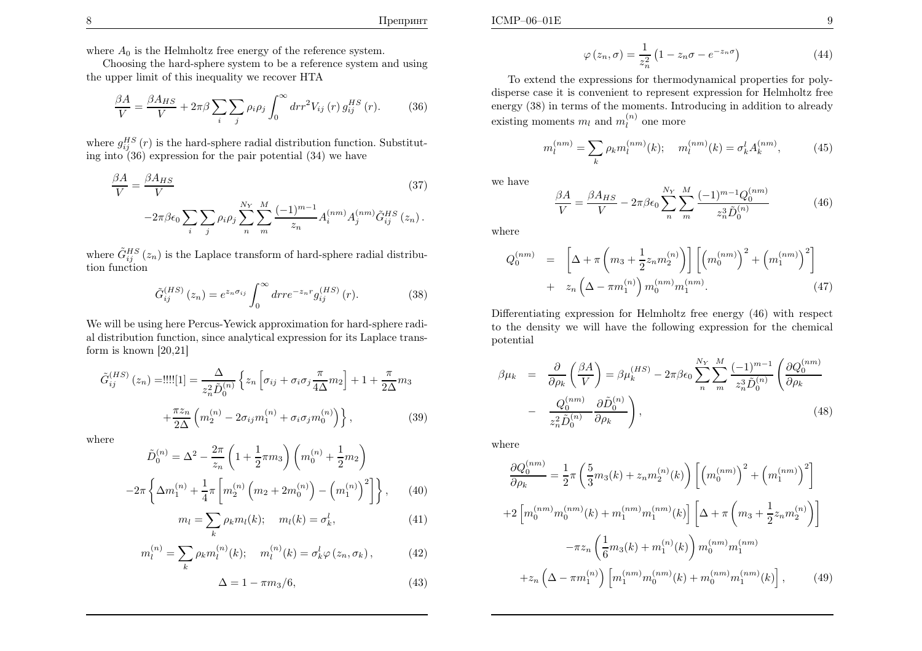Choosing the hard-sphere system to be <sup>a</sup> reference system and using the upper limit of this inequality we recover HTA

$$
\frac{\beta A}{V} = \frac{\beta A_{HS}}{V} + 2\pi\beta \sum_{i} \sum_{j} \rho_{i} \rho_{j} \int_{0}^{\infty} dr r^{2} V_{ij}(r) g_{ij}^{HS}(r). \tag{36}
$$

where  $g_{ij}^{HS}(r)$  is the hard-sphere radial distribution function. Substitut-ing into (36) expression for the pair potential (34) we have

$$
\frac{\beta A}{V} = \frac{\beta A_{HS}}{V}
$$
(37)  

$$
-2\pi \beta \epsilon_0 \sum_{i} \sum_{j} \rho_i \rho_j \sum_{n}^{N_Y} \sum_{m}^{M} \frac{(-1)^{m-1}}{z_n} A_i^{(nm)} A_j^{(nm)} \tilde{G}_{ij}^{HS}(z_n).
$$

where  $\tilde{G}_{ij}^{HS}(z_n)$  is the Laplace transform of hard-sphere radial distribu-tion function

$$
\tilde{G}_{ij}^{(HS)}(z_n) = e^{z_n \sigma_{ij}} \int_0^\infty dr r e^{-z_n r} g_{ij}^{(HS)}(r).
$$
 (38)

We will be using here Percus-Yewick approximation for hard-sphere radial distribution function, since analytical expression for its Laplace transform is known [20,21]

$$
\tilde{G}_{ij}^{(HS)}(z_n) = \text{...} \quad \text{...} \quad \text{...} \quad \text{...} \quad \text{...} \quad \text{...} \quad \text{...} \quad \text{...} \quad \text{...} \quad \text{...} \quad \text{...} \quad \text{...} \quad \text{...} \quad \text{...} \quad \text{...} \quad \text{...} \quad \text{...} \quad \text{...} \quad \text{...} \quad \text{...} \quad \text{...} \quad \text{...} \quad \text{...} \quad \text{...} \quad \text{...} \quad \text{...} \quad \text{...} \quad \text{...} \quad \text{...} \quad \text{...} \quad \text{...} \quad \text{...} \quad \text{...} \quad \text{...} \quad \text{...} \quad \text{...} \quad \text{...} \quad \text{...} \quad \text{...} \quad \text{...} \quad \text{...} \quad \text{...} \quad \text{...} \quad \text{...} \quad \text{...} \quad \text{...} \quad \text{...} \quad \text{...} \quad \text{...} \quad \text{...} \quad \text{...} \quad \text{...} \quad \text{...} \quad \text{...} \quad \text{...} \quad \text{...} \quad \text{...} \quad \text{...} \quad \text{...} \quad \text{...} \quad \text{...} \quad \text{...} \quad \text{...} \quad \text{...} \quad \text{...} \quad \text{...} \quad \text{...} \quad \text{...} \quad \text{...} \quad \text{...} \quad \text{...} \quad \text{...} \quad \text{...} \quad \text{...} \quad \text{...} \quad \text{...} \quad \text{...} \quad \text{...} \quad \text{...} \quad \text{...} \quad \text{...} \quad \text{...} \quad \text{...} \quad \text{...} \quad \text{...} \quad \text{...} \quad \text{...} \quad \text{...} \quad \text{...} \quad \text{...} \quad \text{...} \quad \text{...} \quad \text{...} \quad \text{...} \quad \text{...} \quad \text{...} \quad \text{...} \quad \text{...} \quad \text{...} \quad \text{...} \quad \text{...} \quad \text{...} \quad \text{...} \quad \text{...} \quad \text{...} \quad \text{...} \quad \
$$

where

$$
\tilde{D}_0^{(n)} = \Delta^2 - \frac{2\pi}{z_n} \left( 1 + \frac{1}{2}\pi m_3 \right) \left( m_0^{(n)} + \frac{1}{2}m_2 \right)
$$

$$
-2\pi \left\{ \Delta m_1^{(n)} + \frac{1}{4}\pi \left[ m_2^{(n)} \left( m_2 + 2m_0^{(n)} \right) - \left( m_1^{(n)} \right)^2 \right] \right\}, \qquad (40)
$$

$$
m_l = \sum_{k} \rho_k m_l(k); \quad m_l(k) = \sigma_k^l,
$$
\n(41)

$$
m_l^{(n)} = \sum_k \rho_k m_l^{(n)}(k); \quad m_l^{(n)}(k) = \sigma_k^l \varphi(z_n, \sigma_k), \tag{42}
$$

$$
\Delta = 1 - \pi m_3 / 6, \tag{43}
$$

$$
\varphi(z_n, \sigma) = \frac{1}{z_n^2} \left( 1 - z_n \sigma - e^{-z_n \sigma} \right) \tag{44}
$$

 To extend the expressions for thermodynamical properties for polydisperse case it is convenient to represent expression for Helmholtz freeenergy (38) in terms of the moments. Introducing in addition to already existing moments  $m_l$  and  $m_l^{(n)}$  one more

$$
m_l^{(nm)} = \sum_k \rho_k m_l^{(nm)}(k); \quad m_l^{(nm)}(k) = \sigma_k^l A_k^{(nm)}, \tag{45}
$$

we have

$$
\frac{\beta A}{V} = \frac{\beta A_{HS}}{V} - 2\pi \beta \epsilon_0 \sum_{n}^{N_Y} \sum_{m}^{M} \frac{(-1)^{m-1} Q_0^{(nm)}}{z_n^3 \tilde{D}_0^{(n)}} \tag{46}
$$

where

$$
Q_0^{(nm)} = \left[ \Delta + \pi \left( m_3 + \frac{1}{2} z_n m_2^{(n)} \right) \right] \left[ \left( m_0^{(nm)} \right)^2 + \left( m_1^{(nm)} \right)^2 \right] + z_n \left( \Delta - \pi m_1^{(n)} \right) m_0^{(nm)} m_1^{(nm)}.
$$
\n(47)

Differentiating expression for Helmholtz free energy (46) with respect to the density we will have the following expression for the chemical potential

$$
\beta \mu_k = \frac{\partial}{\partial \rho_k} \left( \frac{\beta A}{V} \right) = \beta \mu_k^{(HS)} - 2\pi \beta \epsilon_0 \sum_n^N \sum_m^M \frac{(-1)^{m-1}}{z_n^3 \tilde{D}_0^{(n)}} \left( \frac{\partial Q_0^{(nm)}}{\partial \rho_k} \right) - \frac{Q_0^{(nm)}}{z_n^2 \tilde{D}_0^{(n)}} \frac{\partial \tilde{D}_0^{(n)}}{\partial \rho_k} \right), \tag{48}
$$

where

$$
\frac{\partial Q_0^{(nm)}}{\partial \rho_k} = \frac{1}{2} \pi \left( \frac{5}{3} m_3(k) + z_n m_2^{(n)}(k) \right) \left[ \left( m_0^{(nm)} \right)^2 + \left( m_1^{(nm)} \right)^2 \right]
$$

$$
+ 2 \left[ m_0^{(nm)} m_0^{(nm)}(k) + m_1^{(nm)} m_1^{(nm)}(k) \right] \left[ \Delta + \pi \left( m_3 + \frac{1}{2} z_n m_2^{(n)} \right) \right]
$$

$$
- \pi z_n \left( \frac{1}{6} m_3(k) + m_1^{(n)}(k) \right) m_0^{(nm)} m_1^{(nm)}
$$

$$
+ z_n \left( \Delta - \pi m_1^{(n)} \right) \left[ m_1^{(nm)} m_0^{(nm)}(k) + m_0^{(nm)} m_1^{(nm)}(k) \right], \tag{49}
$$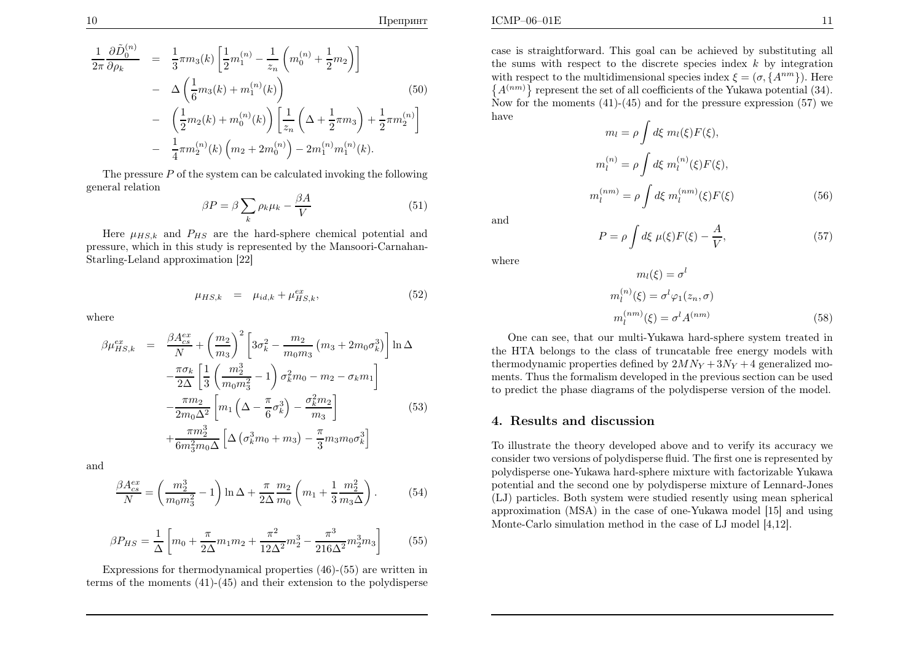$$
\frac{1}{2\pi} \frac{\partial \tilde{D}_0^{(n)}}{\partial \rho_k} = \frac{1}{3} \pi m_3(k) \left[ \frac{1}{2} m_1^{(n)} - \frac{1}{z_n} \left( m_0^{(n)} + \frac{1}{2} m_2 \right) \right] \n- \Delta \left( \frac{1}{6} m_3(k) + m_1^{(n)}(k) \right) \n- \left( \frac{1}{2} m_2(k) + m_0^{(n)}(k) \right) \left[ \frac{1}{z_n} \left( \Delta + \frac{1}{2} \pi m_3 \right) + \frac{1}{2} \pi m_2^{(n)} \right] \n- \frac{1}{4} \pi m_2^{(n)}(k) \left( m_2 + 2 m_0^{(n)} \right) - 2 m_1^{(n)} m_1^{(n)}(k).
$$
\n(50)

The pressure  $P$  of the system can be calculated invoking the following genera<sup>l</sup> relation

$$
\beta P = \beta \sum_{k} \rho_k \mu_k - \frac{\beta A}{V} \tag{51}
$$

Here  $\mu_{HS,k}$  and  $P_{HS}$  are the hard-sphere chemical potential and pressure, which in this study is represented by the Mansoori-Carnahan-Starling-Leland approximation [22]

$$
\mu_{HS,k} = \mu_{id,k} + \mu_{HS,k}^{ex}, \tag{52}
$$

where

$$
\beta \mu_{HS,k}^{ex} = \frac{\beta A_{cs}^{ex}}{N} + \left(\frac{m_2}{m_3}\right)^2 \left[3\sigma_k^2 - \frac{m_2}{m_0 m_3} \left(m_3 + 2m_0 \sigma_k^3\right)\right] \ln \Delta \n- \frac{\pi \sigma_k}{2\Delta} \left[\frac{1}{3} \left(\frac{m_2^3}{m_0 m_3^2} - 1\right) \sigma_k^2 m_0 - m_2 - \sigma_k m_1\right] \n- \frac{\pi m_2}{2m_0 \Delta^2} \left[m_1 \left(\Delta - \frac{\pi}{6} \sigma_k^3\right) - \frac{\sigma_k^2 m_2}{m_3}\right] \n+ \frac{\pi m_2^3}{6m_3^2 m_0 \Delta} \left[\Delta \left(\sigma_k^3 m_0 + m_3\right) - \frac{\pi}{3} m_3 m_0 \sigma_k^3\right]
$$
\n(53)

and

$$
\frac{\beta A_{cs}^{ex}}{N} = \left(\frac{m_2^3}{m_0 m_3^2} - 1\right) \ln \Delta + \frac{\pi}{2\Delta} \frac{m_2}{m_0} \left(m_1 + \frac{1}{3} \frac{m_2^2}{m_3 \Delta}\right). \tag{54}
$$

$$
\beta P_{HS} = \frac{1}{\Delta} \left[ m_0 + \frac{\pi}{2\Delta} m_1 m_2 + \frac{\pi^2}{12\Delta^2} m_2^3 - \frac{\pi^3}{216\Delta^2} m_2^3 m_3 \right]
$$
(55)

Expressions for thermodynamical properties (46)-(55) are written interms of the moments (41)-(45) and their extension to the polydisperse  $E$  and  $\frac{11}{2}$ 

case is straightforward. This goa<sup>l</sup> can be achieved by substituting all the sums with respect to the discrete species index  $k$  by integration with respect to the multidimensional species index  $\xi = (\sigma, \{A^{nm}\})$ . Her with respect to the multidimensional species index  $\xi = (\sigma, \{A^{nm}\})$ . Here  $\{A^{(nm)}\}$  represent the set of all coefficients of the Yukawa potential (34). Now for the moments  $(41)-(45)$  and for the pressure expression  $(57)$  we have

$$
m_l = \rho \int d\xi \ m_l(\xi) F(\xi),
$$
  

$$
m_l^{(n)} = \rho \int d\xi \ m_l^{(n)}(\xi) F(\xi),
$$
  

$$
m_l^{(nm)} = \rho \int d\xi \ m_l^{(nm)}(\xi) F(\xi)
$$
 (56)

and

where

$$
m_l(\xi) = \sigma^l
$$
  
\n
$$
m_l^{(n)}(\xi) = \sigma^l \varphi_1(z_n, \sigma)
$$
  
\n
$$
m_l^{(nm)}(\xi) = \sigma^l A^{(nm)}
$$
\n(58)

 $V^{\,\prime}$ 

 One can see, that our multi-Yukawa hard-sphere system treated in the HTA belongs to the class of truncatable free energy models withthermodynamic properties defined by  $2MN_Y + 3N_Y + 4$  generalized moments. Thus the formalism developed in the previous section can be used to predict the <sup>p</sup>hase diagrams of the polydisperse version of the model.

 $=\rho\int d\xi\ \mu(\xi)F(\xi)-\frac{A}{V}$ 

## 4. Results and discussion

P

To illustrate the theory developed above and to verify its accuracy we consider two versions of polydisperse fluid. The first one is represented by polydisperse one-Yukawa hard-sphere mixture with factorizable Yukawa potential and the second one by polydisperse mixture of Lennard-Jones (LJ) particles. Both system were studied resently using mean spherical approximation (MSA) in the case of one-Yukawa model [15] and using Monte-Carlo simulation method in the case of LJ model [4,12].

(57)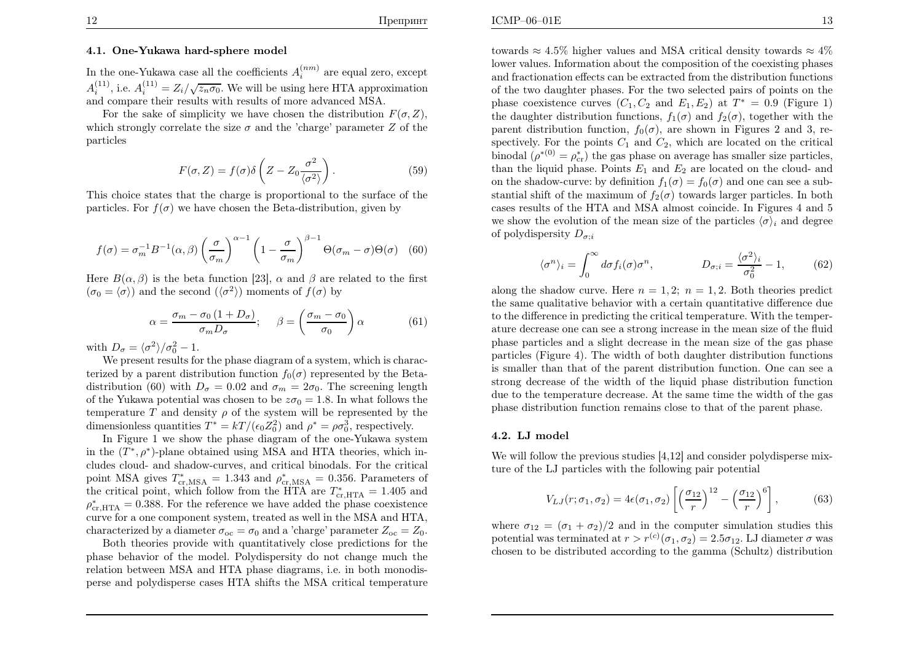In the one-Yukawa case all the coefficients  $A_i^{(nm)}$  are equal zero, except  $A_i^{(11)}$ , i.e.  $A_i^{(11)} = Z_i/\sqrt{z_n \sigma_0}$ . We will be using here HTA approximation and compare their results with results of more advanced MSA.

For the sake of simplicity we have chosen the distribution  $F(\sigma, Z)$ , which strongly correlate the size  $\sigma$  and the 'charge' parameter  $Z$  of the particles

$$
F(\sigma, Z) = f(\sigma)\delta\left(Z - Z_0 \frac{\sigma^2}{\langle \sigma^2 \rangle}\right). \tag{59}
$$

This choice states that the charge is proportional to the surface of theparticles. For  $f(\sigma)$  we have chosen the Beta-distribution, given by

$$
f(\sigma) = \sigma_m^{-1} B^{-1}(\alpha, \beta) \left(\frac{\sigma}{\sigma_m}\right)^{\alpha - 1} \left(1 - \frac{\sigma}{\sigma_m}\right)^{\beta - 1} \Theta(\sigma_m - \sigma) \Theta(\sigma) \quad (60)
$$

Here  $B(\alpha, \beta)$  is the beta function [23],  $\alpha$  and  $\beta$  are related to the first  $(\sigma_0 = \langle \sigma \rangle)$  and the second  $(\langle \sigma^2 \rangle)$  moments of  $f(\sigma)$  by

$$
\alpha = \frac{\sigma_m - \sigma_0 \left(1 + D_{\sigma}\right)}{\sigma_m D_{\sigma}}; \quad \beta = \left(\frac{\sigma_m - \sigma_0}{\sigma_0}\right) \alpha \tag{61}
$$

with  $D_{\sigma} = \langle \sigma^2 \rangle / \sigma_0^2 - 1.$ 

 We present results for the <sup>p</sup>hase diagram of <sup>a</sup> system, which is characterized by a parent distribution function  $f_0(\sigma)$  represented by the Betadistribution (60) with  $D_{\sigma} = 0.02$  and  $\sigma_m = 2\sigma_0$ . The screening length of the Yukawa potential was chosen to be  $z\sigma_0 = 1.8$ . In what follows the temperature T and density  $\rho$  of the system will be represented by the dimensionless quantities  $T^* = kT/(\epsilon_0 Z_0^2)$  and  $\rho^* = \rho \sigma_0^3$ , respectively.

 In Figure <sup>1</sup> we show the <sup>p</sup>hase diagram of the one-Yukawa systemin the  $(T^*, \rho^*)$ -plane obtained using MSA and HTA theories, which in- cludes cloud- and shadow-curves, and critical binodals. For the critical point MSA gives  $T_{\text{cr,MSA}}^* = 1.343$  and  $\rho_{\text{cr,MSA}}^* = 0.356$ . Parameters of the gritical point which follow from the HTA are  $T^* = -1.405$  and the critical point, which follow from the HTA are  $T_{\text{cr,HTA}}^* = 1.405$  and  $\epsilon_{\text{cr,av}}^* = 0.288$ . For the reference we have added the phase sequitioned  $\rho_{\text{cr,HTA}}^* = 0.388$ . For the reference we have added the phase coexistence curve for <sup>a</sup> one component system, treated as well in the MSA and HTA, characterized by a diameter  $\sigma_{oc} = \sigma_0$  and a 'charge' parameter  $Z_{oc} = Z_0$ .

 Both theories provide with quantitatively close predictions for the <sup>p</sup>hase behavior of the model. Polydispersity do not change much the relation between MSA and HTA <sup>p</sup>hase diagrams, i.e. in both monodisperse and polydisperse cases HTA shifts the MSA critical temperature towards  $\approx 4.5\%$  higher values and MSA critical density towards  $\approx 4\%$  lower values. Information about the composition of the coexisting <sup>p</sup>hases and fractionation effects can be extracted from the distribution functions of the two daughter <sup>p</sup>hases. For the two selected pairs of points on thephase coexistence curves  $(C_1, C_2 \text{ and } E_1, E_2)$  at  $T^* = 0.9$  (Figure 1) the daughter distribution functions,  $f_1(\sigma)$  and  $f_2(\sigma)$ , together with the parent distribution function,  $f_0(\sigma)$ , are shown in Figures 2 and 3, respectively. For the points  $C_1$  and  $C_2$ , which are located on the critical binodal  $(\rho^{*(0)} = \rho_{cr}^*)$  the gas phase on average has smaller size particles, than the liquid phase. Points  $E_1$  and  $E_2$  are located on the cloud- and on the shadow-curve: by definition  $f_1(\sigma) = f_0(\sigma)$  and one can see a substantial shift of the maximum of  $f_2(\sigma)$  towards larger particles. In both cases results of the HTA and MSA almost coincide. In Figures <sup>4</sup> and <sup>5</sup> we show the evolution of the mean size of the particles  $\langle \sigma \rangle_i$  and degree of polydispersity  $D_{\sigma;i}$ 

$$
\langle \sigma^n \rangle_i = \int_0^\infty d\sigma f_i(\sigma) \sigma^n, \qquad D_{\sigma;i} = \frac{\langle \sigma^2 \rangle_i}{\sigma_0^2} - 1,\qquad (62)
$$

along the shadow curve. Here  $n = 1, 2$ ;  $n = 1, 2$ . Both theories predict the same qualitative behavior with <sup>a</sup> certain quantitative difference due to the difference in predicting the critical temperature. With the temperature decrease one can see <sup>a</sup> strong increase in the mean size of the fluid <sup>p</sup>hase particles and <sup>a</sup> slight decrease in the mean size of the gas <sup>p</sup>hase particles (Figure 4). The width of both daughter distribution functions is smaller than that of the parent distribution function. One can see <sup>a</sup> strong decrease of the width of the liquid <sup>p</sup>hase distribution function due to the temperature decrease. At the same time the width of the gas<sup>p</sup>hase distribution function remains close to that of the parent <sup>p</sup>hase.

### 4.2. LJ model

We will follow the previous studies [4,12] and consider polydisperse mixture of the LJ particles with the following pair potential

$$
V_{LJ}(r; \sigma_1, \sigma_2) = 4\epsilon(\sigma_1, \sigma_2) \left[ \left( \frac{\sigma_{12}}{r} \right)^{12} - \left( \frac{\sigma_{12}}{r} \right)^6 \right],\tag{63}
$$

where  $\sigma_{12} = (\sigma_1 + \sigma_2)/2$  and in the computer simulation studies this potential was terminated at  $r > r^{(c)}(\sigma_1, \sigma_2) = 2.5\sigma_{12}$ . LJ diameter  $\sigma$  was chosen to be distributed according to the gamma (Schultz) distribution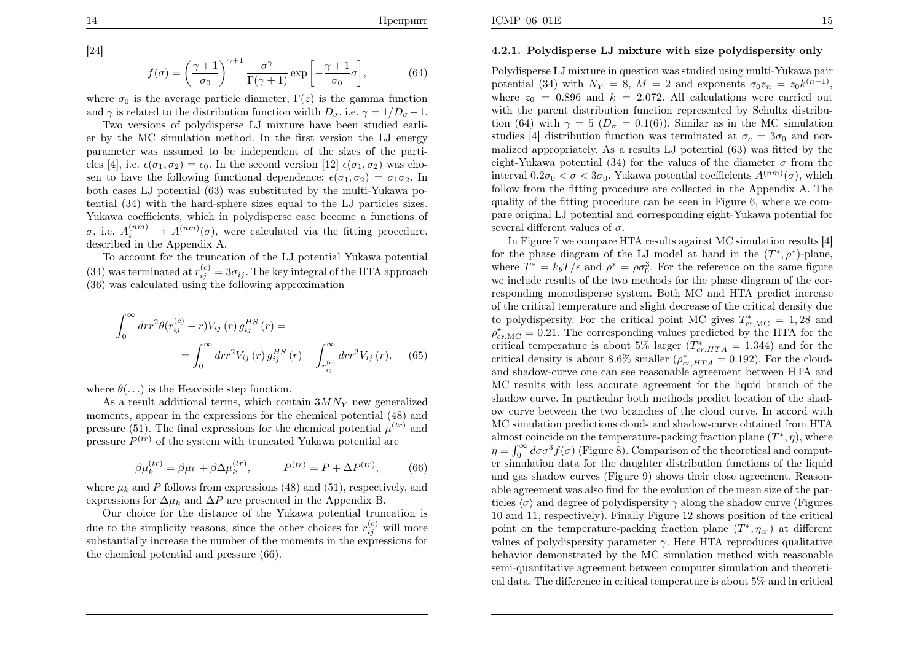[24]

14

$$
f(\sigma) = \left(\frac{\gamma + 1}{\sigma_0}\right)^{\gamma + 1} \frac{\sigma^{\gamma}}{\Gamma(\gamma + 1)} \exp\left[-\frac{\gamma + 1}{\sigma_0}\sigma\right],\tag{64}
$$

where  $\sigma_0$  is the average particle diameter,  $\Gamma(z)$  is the gamma function and  $\gamma$  is related to the distribution function width  $D_{\sigma}$ , i.e.  $\gamma = 1/D_{\sigma} - 1$ .

 Two versions of polydisperse LJ mixture have been studied earlier by the MC simulation method. In the first version the LJ energy parameter was assumed to be independent of the sizes of the particles [4], i.e.  $\epsilon(\sigma_1, \sigma_2) = \epsilon_0$ . In the second version [12]  $\epsilon(\sigma_1, \sigma_2)$  was chosen to have the following functional dependence:  $\epsilon(\sigma_1, \sigma_2) = \sigma_1 \sigma_2$ . In both cases LJ potential (63) was substituted by the multi-Yukawa potential (34) with the hard-sphere sizes equa<sup>l</sup> to the LJ particles sizes. Yukawa coefficients, which in polydisperse case become <sup>a</sup> functions of σ, i.e.  $A_i^{(nm)} \to A^{(nm)}(\sigma)$ , were calculated via the fitting procedure, described in the Appendix A.

To account for the truncation of the LJ potential Yukawa potential (34) was terminated at  $r_{ij}^{(c)} = 3\sigma_{ij}$ . The key integral of the HTA approach (36) was calculated using the following approximation

$$
\int_0^\infty dr r^2 \theta(r_{ij}^{(c)} - r) V_{ij}(r) g_{ij}^{HS}(r) =
$$
  
= 
$$
\int_0^\infty dr r^2 V_{ij}(r) g_{ij}^{HS}(r) - \int_{r_{ij}^{(c)}}^\infty dr r^2 V_{ij}(r).
$$
 (65)

where  $\theta(\ldots)$  is the Heaviside step function.

As a result additional terms, which contain  $3MN<sub>Y</sub>$  new generalized moments, appear in the expressions for the chemical potential (48) andpressure (51). The final expressions for the chemical potential  $\mu^{(tr)}$  and pressure  $P^{(tr)}$  of the system with truncated Yukawa potential are

$$
\beta \mu_k^{(tr)} = \beta \mu_k + \beta \Delta \mu_k^{(tr)}, \qquad P^{(tr)} = P + \Delta P^{(tr)}, \qquad (66)
$$

where  $\mu_k$  and P follows from expressions (48) and (51), respectively, and expressions for  $\Delta \mu_k$  and  $\Delta P$  are presented in the Appendix B.

 Our choice for the distance of the Yukawa potential truncation isdue to the simplicity reasons, since the other choices for  $r_{ij}^{(c)}$  will more substantially increase the number of the moments in the expressions forthe chemical potential and pressure (66).

### 4.2.1. Polydisperse LJ mixture with size polydispersity only

Polydisperse LJ mixture in question was studied using multi-Yukawa pairpotential (34) with  $N_Y = 8$ ,  $M = 2$  and exponents  $\sigma_0 z_n = z_0 k^{(n-1)}$ ,<br>where  $z_0 = 0.806$  and  $k = 2.072$  All calculations were carried out where  $z_0 = 0.896$  and  $k = 2.072$ . All calculations were carried out with the parent distribution function represented by Schultz distribution (64) with  $\gamma = 5$  ( $D_{\sigma} = 0.1(6)$ ). Similar as in the MC simulation studies [4] distribution function was terminated at  $\sigma_c = 3\sigma_0$  and nor malized appropriately. As <sup>a</sup> results LJ potential (63) was fitted by theeight-Yukawa potential (34) for the values of the diameter  $\sigma$  from the interval  $0.2\sigma_0 < \sigma < 3\sigma_0$ . Yukawa potential coefficients  $A^{(nm)}(\sigma)$ , which follow from the fitting procedure are collected in the Appendix A. The quality of the fitting procedure can be seen in Figure 6, where we compare original LJ potential and corresponding eight-Yukawa potential for several different values of  $\sigma$ .

In Figure <sup>7</sup> we compare HTA results against MC simulation results [4] for the phase diagram of the LJ model at hand in the  $(T^*, \rho^*)$ -plane, where  $T^* = k_b T / \epsilon$  and  $\rho^* = \rho \sigma_0^3$ . For the reference on the same figure we include results of the two methods for the <sup>p</sup>hase diagram of the corresponding monodisperse system. Both MC and HTA predict increase of the critical temperature and slight decrease of the critical density dueto polydispersity. For the critical point MC gives  $T_{cr,MC}^* = 1,28$  and  $c^* = 0.21$ . The corresponding values prodicted by the HTA for the  $\rho_{cr,MC}^* = 0.21$ . The corresponding values predicted by the HTA for the exitingl temperature is about  $5\%$  larger ( $T^* = -1.344$ ) and for the critical temperature is about  $5\%$  larger  $(T^*_{cr,HTA} = 1.344)$  and for the critical department  $8.6\%$  crystler  $(s^*_{cr,HTA} = 0.193)$ . For the cloud critical density is about 8.6% smaller  $(\rho_{cr,HTA}^* = 0.192)$ . For the cloud and shadow-curve one can see reasonable agreement between HTA and MC results with less accurate agreement for the liquid branch of the shadow curve. In particular both methods predict location of the shadow curve between the two branches of the cloud curve. In accord with MC simulation predictions cloud- and shadow-curve obtained from HTAalmost coincide on the temperature-packing fraction plane  $(T^*, \eta)$ , where  $\eta = \int_0^\infty d\sigma \sigma^3 f(\sigma)$  (Figure 8). Comparison of the theoretical and comput- er simulation data for the daughter distribution functions of the liquid and gas shadow curves (Figure 9) shows their close agreement. Reasonable agreement was also find for the evolution of the mean size of the particles  $\langle \sigma \rangle$  and degree of polydispersity  $\gamma$  along the shadow curve (Figures <sup>10</sup> and 11, respectively). Finally Figure <sup>12</sup> shows position of the critical point on the temperature-packing fraction plane  $(T^*, \eta_{cr})$  at different values of polydispersity parameter  $\gamma$ . Here HTA reproduces qualitative behavior demonstrated by the MC simulation method with reasonable semi-quantitative agreement between computer simulation and theoretical data. The difference in critical temperature is about 5% and in critical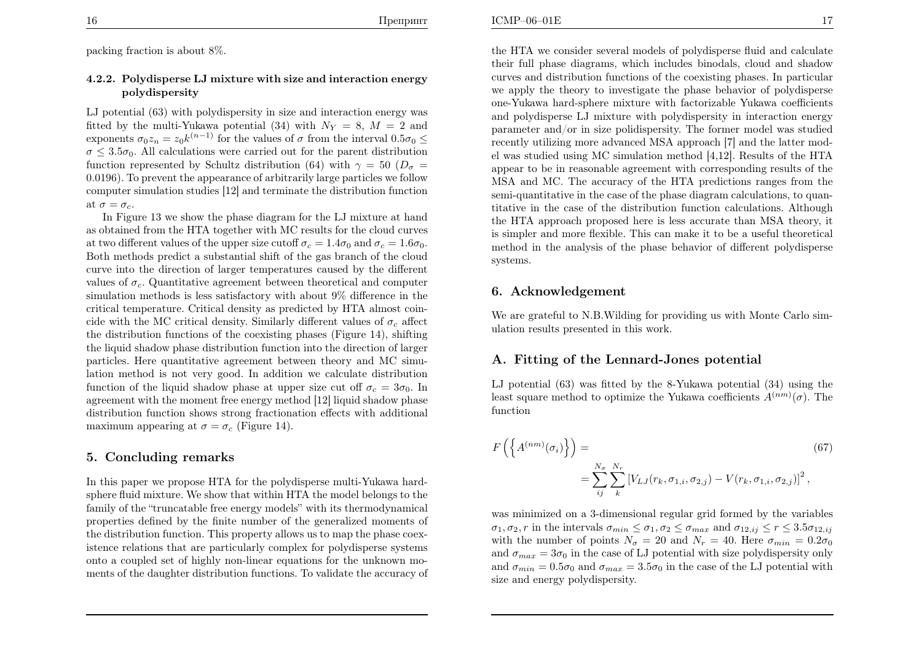packing fraction is about 8%.

### 4.2.2. Polydisperse LJ mixture with size and interaction energypolydispersity

LJ potential (63) with polydispersity in size and interaction energy wasfitted by the multi-Yukawa potential (34) with  $N_Y = 8$ ,  $M = 2$  and<br>exponents  $\sigma_1 z = z_1 k^{(n-1)}$  for the values of  $\sigma$  from the interval 0.5 $\sigma_1$ exponents  $\sigma_0 z_n = z_0 k^{(n-1)}$  for the values of  $\sigma$  from the interval  $0.5\sigma_0 \leq$  $\sigma \leq 3.5\sigma_0$ . All calculations were carried out for the parent distribution  $f_{\text{untrivial}}$  or  $f_{\text{out}}$  or  $f_{\text{out}}$  ( $\Omega$ ) function represented by Schultz distribution (64) with  $\gamma = 50$  ( $D_{\sigma} =$  <sup>0</sup>.0196). To prevent the appearance of arbitrarily large particles we follow computer simulation studies [12] and terminate the distribution functionat  $\sigma=\sigma_c$ .

 In Figure <sup>13</sup> we show the <sup>p</sup>hase diagram for the LJ mixture at hand as obtained from the HTA together with MC results for the cloud curvesat two different values of the upper size cutoff  $\sigma_c = 1.4\sigma_0$  and  $\sigma_c = 1.6\sigma_0$ . Both methods predict <sup>a</sup> substantial shift of the gas branch of the cloud curve into the direction of larger temperatures caused by the differentvalues of  $\sigma_c$ . Quantitative agreement between theoretical and computer simulation methods is less satisfactory with about 9% difference in the<br>critical temperature. Critical density as prodicted by UTA almost asing critical temperature. Critical density as predicted by HTA almost coincide with the MC critical density. Similarly different values of  $\sigma_c$  affect the distribution functions of the coexisting <sup>p</sup>hases (Figure 14), shifting the liquid shadow <sup>p</sup>hase distribution function into the direction of larger particles. Here quantitative agreement between theory and MC simulation method is not very good. In addition we calculate distributionfunction of the liquid shadow phase at upper size cut off  $\sigma_c = 3\sigma_0$ . In agreement with the moment free energy method [12] liquid shadow <sup>p</sup>hase distribution function shows strong fractionation effects with additional maximum appearing at  $\sigma = \sigma_c$  (Figure 14).

### 5. Concluding remarks

In this paper we propose HTA for the polydisperse multi-Yukawa hardsphere fluid mixture. We show that within HTA the model belongs to the family of the "truncatable free energy models" with its thermodynamical properties defined by the finite number of the generalized moments of the distribution function. This property allows us to map the <sup>p</sup>hase coexistence relations that are particularly complex for polydisperse systems onto <sup>a</sup> coupled set of highly non-linear equations for the unknown moments of the daughter distribution functions. To validate the accuracy of the HTA we consider several models of polydisperse fluid and calculate their full <sup>p</sup>hase diagrams, which includes binodals, cloud and shadow curves and distribution functions of the coexisting <sup>p</sup>hases. In particular we apply the theory to investigate the <sup>p</sup>hase behavior of polydisperse one-Yukawa hard-sphere mixture with factorizable Yukawa coefficients and polydisperse LJ mixture with polydispersity in interaction energy parameter and/or in size polidispersity. The former model was studied recently utilizing more advanced MSA approac<sup>h</sup> [7] and the latter model was studied using MC simulation method [4,12]. Results of the HTA appear to be in reasonable agreement with corresponding results of the MSA and MC. The accuracy of the HTA predictions ranges from the semi-quantitative in the case of the <sup>p</sup>hase diagram calculations, to quantitative in the case of the distribution function calculations. Although the HTA approac<sup>h</sup> proposed here is less accurate than MSA theory, it is simpler and more flexible. This can make it to be <sup>a</sup> useful theoretical method in the analysis of the <sup>p</sup>hase behavior of different polydispersesystems.

### 6. Acknowledgement

We are grateful to N.B.Wilding for providing us with Monte Carlo simulation results presented in this work.

## A. Fitting of the Lennard-Jones potential

LJ potential (63) was fitted by the 8-Yukawa potential (34) using theleast square method to optimize the Yukawa coefficients  $A^{(nm)}(\sigma)$ . The function

$$
F\left(\left\{A^{(nm)}(\sigma_i)\right\}\right) = \n\sum_{i,j} \sum_{k}^{N_r} \left[V_{LJ}(r_k, \sigma_{1,i}, \sigma_{2,j}) - V(r_k, \sigma_{1,i}, \sigma_{2,j})\right]^2,
$$
\n(67)

was minimized on <sup>a</sup> 3-dimensional regular grid formed by the variables $\sigma_1, \sigma_2, r$  in the intervals  $\sigma_{min} \leq \sigma_1, \sigma_2 \leq \sigma_{max}$  and  $\sigma_{12,ij} \leq r \leq 3.5\sigma_{12,ij}$ with the number of points  $N_{\sigma} = 20$  and  $N_r = 40$ . Here  $\sigma_{min} = 0.2\sigma_0$ and  $\sigma_{max} = 3\sigma_0$  in the case of LJ potential with size polydispersity only and  $\sigma_{min} = 0.5\sigma_0$  and  $\sigma_{max} = 3.5\sigma_0$  in the case of the LJ potential with size and energy polydispersity.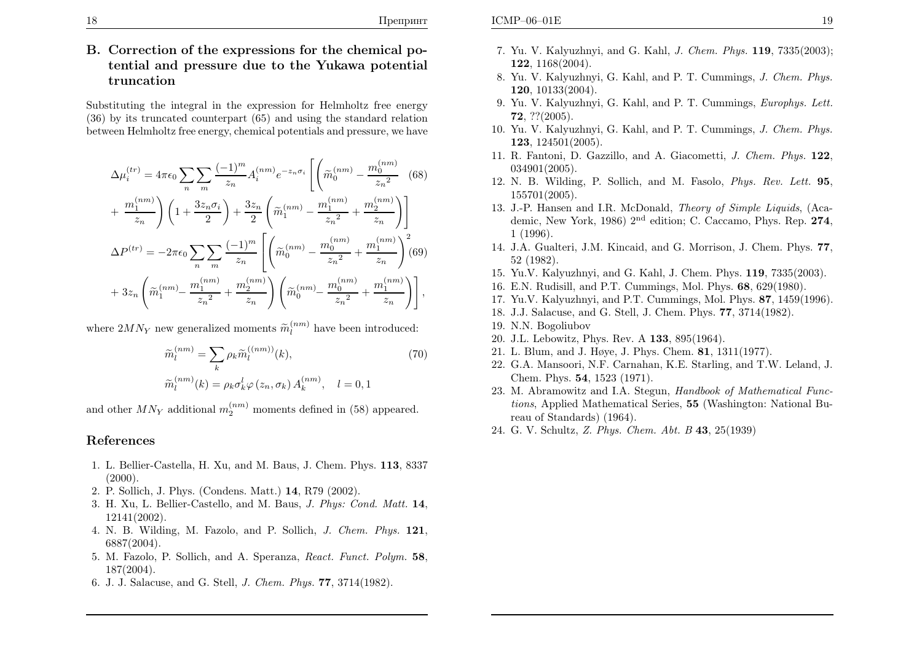# B. Correction of the expressions for the chemical potential and pressure due to the Yukawa potential truncation

Substituting the integral in the expression for Helmholtz free energy (36) by its truncated counterpart (65) and using the standard relationbetween Helmholtz free energy, chemical potentials and pressure, we have

$$
\Delta\mu_i^{(tr)} = 4\pi\epsilon_0 \sum_n \sum_m \frac{(-1)^m}{z_n} A_i^{(nm)} e^{-z_n \sigma_i} \left[ \left( \widetilde{m}_0^{(nm)} - \frac{m_0^{(nm)}}{z_n^2} \right) (68) + \frac{m_1^{(nm)}}{z_n} \right] \left( 1 + \frac{3z_n \sigma_i}{2} \right) + \frac{3z_n}{2} \left( \widetilde{m}_1^{(nm)} - \frac{m_1^{(nm)}}{z_n^2} + \frac{m_2^{(nm)}}{z_n} \right) \right]
$$
  
\n
$$
\Delta P^{(tr)} = -2\pi\epsilon_0 \sum_n \sum_m \frac{(-1)^m}{z_n} \left[ \left( \widetilde{m}_0^{(nm)} - \frac{m_0^{(nm)}}{z_n^2} + \frac{m_1^{(nm)}}{z_n} \right)^2 (69) + 3z_n \left( \widetilde{m}_1^{(nm)} - \frac{m_1^{(nm)}}{z_n^2} + \frac{m_2^{(nm)}}{z_n} \right) \left( \widetilde{m}_0^{(nm)} - \frac{m_0^{(nm)}}{z_n^2} + \frac{m_1^{(nm)}}{z_n} \right) \right],
$$

where  $2MN_Y$  new generalized moments  $\widetilde{m}_l^{(nm)}$  have been introduced:

$$
\widetilde{m}_{l}^{(nm)} = \sum_{k} \rho_{k} \widetilde{m}_{l}^{((nm))}(k),
$$
\n
$$
\widetilde{m}_{l}^{(nm)}(k) = \rho_{k} \sigma_{k}^{l} \varphi(z_{n}, \sigma_{k}) A_{k}^{(nm)}, \quad l = 0, 1
$$
\n(70)

and other  $MN_Y$  additional  $m_2^{(nm)}$  moments defined in (58) appeared.

## References

- 1. L. Bellier-Castella, H. Xu, and M. Baus, J. Chem. Phys. <sup>113</sup>, <sup>8337</sup> $(2000).$
- 2. P. Sollich, J. Phys. (Condens. Matt.) <sup>14</sup>, R79 (2002).
- 3. H. Xu, L. Bellier-Castello, and M. Baus, J. Phys: Cond. Matt. <sup>14</sup>, 12141(2002).
- 4. N. B. Wilding, M. Fazolo, and P. Sollich, J. Chem. Phys. <sup>121</sup>, 6887(2004).
- 5. M. Fazolo, P. Sollich, and A. Speranza, React. Funct. Polym. 58, 187(2004).
- 6. J. J. Salacuse, and G. Stell, J. Chem. Phys. <sup>77</sup>, 3714(1982).
- 7. Yu. V. Kalyuzhnyi, and G. Kahl, J. Chem. Phys. <sup>119</sup>, 7335(2003); <sup>122</sup>, 1168(2004).
- 8. Yu. V. Kalyuzhnyi, G. Kahl, and P. T. Cummings, J. Chem. Phys. <sup>120</sup>, 10133(2004).
- 9. Yu. V. Kalyuzhnyi, G. Kahl, and P. T. Cummings, Europhys. Lett. <sup>72</sup>, ??(2005).
- 10. Yu. V. Kalyuzhnyi, G. Kahl, and P. T. Cummings, J. Chem. Phys. <sup>123</sup>, 124501(2005).
- 11. R. Fantoni, D. Gazzillo, and A. Giacometti, J. Chem. Phys. <sup>122</sup>, 034901(2005).
- 12. N. B. Wilding, P. Sollich, and M. Fasolo, Phys. Rev. Lett. <sup>95</sup>, 155701(2005).
- 13. J.-P. Hansen and I.R. McDonald, Theory of Simple Liquids, (Academic, New York, 1986) <sup>2</sup>nd edition; C. Caccamo, Phys. Rep. <sup>274</sup>, 1 (1996).
- 14. J.A. Gualteri, J.M. Kincaid, and G. Morrison, J. Chem. Phys. <sup>77</sup>, <sup>52</sup> (1982).
- 15. Yu.V. Kalyuzhnyi, and G. Kahl, J. Chem. Phys. <sup>119</sup>, 7335(2003).
- 16. E.N. Rudisill, and P.T. Cummings, Mol. Phys. <sup>68</sup>, 629(1980).
- 17. Yu.V. Kalyuzhnyi, and P.T. Cummings, Mol. Phys. <sup>87</sup>, 1459(1996).
- 18. J.J. Salacuse, and G. Stell, J. Chem. Phys. <sup>77</sup>, 3714(1982).
- 19. N.N. Bogoliubov
- 20. J.L. Lebowitz, Phys. Rev. <sup>A</sup> <sup>133</sup>, 895(1964).
- 21. L. Blum, and J. <sup>H</sup>øye, J. Phys. Chem. <sup>81</sup>, 1311(1977).
- 22. G.A. Mansoori, N.F. Carnahan, K.E. Starling, and T.W. Leland, J. Chem. Phys. <sup>54</sup>, <sup>1523</sup> (1971).
- 23. M. Abramowitz and I.A. Stegun, Handbook of Mathematical Functions, Applied Mathematical Series, <sup>55</sup> (Washington: National Bureau of Standards) (1964).
- 24. G. V. Schultz, Z. Phys. Chem. Abt. <sup>B</sup> <sup>43</sup>, 25(1939)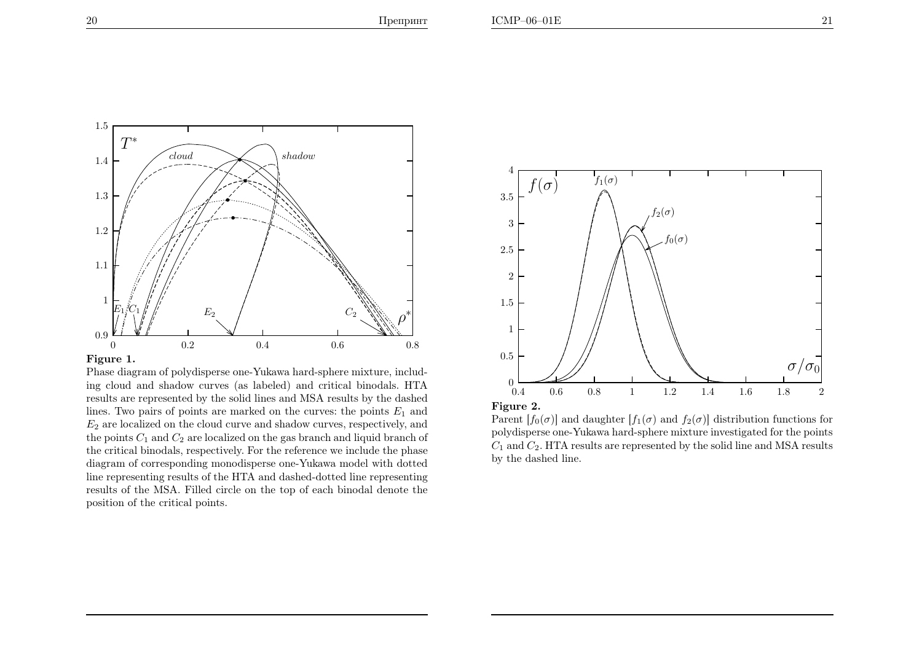

Figure 1.

Phase diagram of polydisperse one-Yukawa hard-sphere mixture, including cloud and shadow curves (as labeled) and critical binodals. HTA results are represented by the solid lines and MSA results by the dashedlines. Two pairs of points are marked on the curves: the points  $E_1$  and  $E_2$  are localized on the cloud curve and shadow curves, respectively, and the points  $C_1$  and  $C_2$  are localized on the gas branch and liquid branch of the critical binodals, respectively. For the reference we include the <sup>p</sup>hase diagram of corresponding monodisperse one-Yukawa model with dotted line representing results of the HTA and dashed-dotted line representing results of the MSA. Filled circle on the top of each binodal denote theposition of the critical points.



Figure 2.

Parent  $[f_0(\sigma)]$  and daughter  $[f_1(\sigma)]$  and  $f_2(\sigma)]$  distribution functions for polydisperse one-Yukawa hard-sphere mixture investigated for the points $C_1$  and  $C_2$ . HTA results are represented by the solid line and MSA results by the dashed line.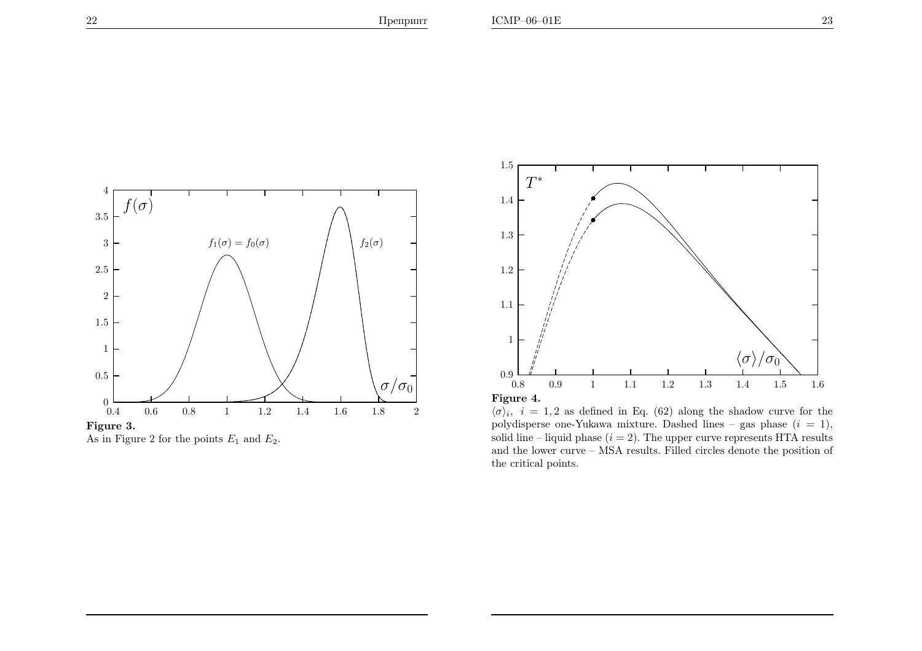

Figure 3.

As in Figure 2 for the points  $E_1$  and  $E_2$ .



 $\langle \sigma \rangle_i$ ,  $i = 1, 2$  as defined in Eq. (62) along the shadow curve for the polydisperse one-Yukawa mixture. Dashed lines – gas phase  $(i = 1)$ , solid line – liquid phase  $(i = 2)$ . The upper curve represents HTA results and the lower curve – MSA results. Filled circles denote the position of the critical points.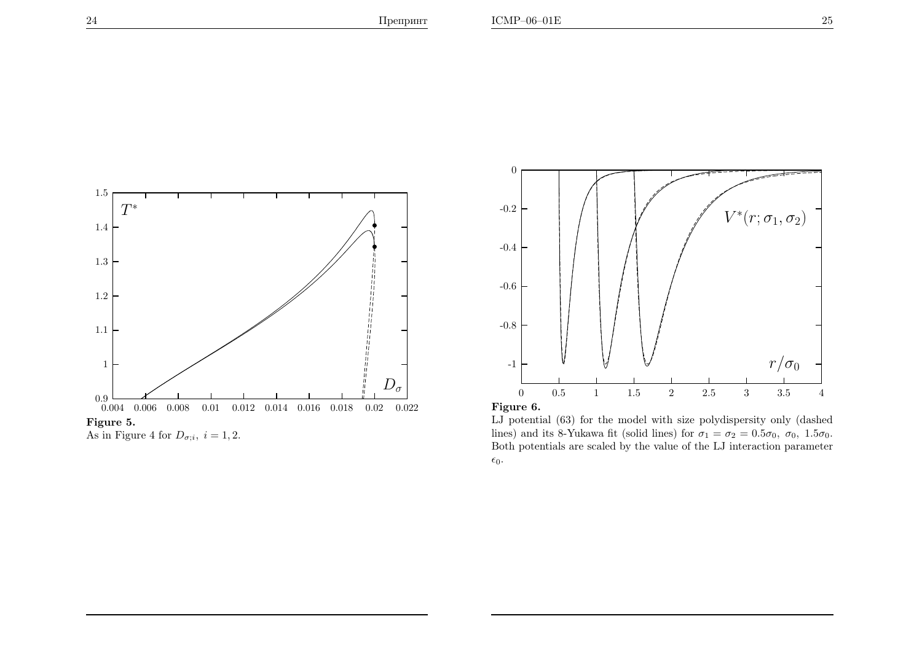





Figure 6.

LJ potential (63) for the model with size polydispersity only (dashedlines) and its 8-Yukawa fit (solid lines) for  $\sigma_1 = \sigma_2 = 0.5\sigma_0$ ,  $\sigma_0$ ,  $1.5\sigma_0$ . Both potentials are scaled by the value of the LJ interaction parameter  $\epsilon_0$ .

 $T^*$ 

1.5

1.4

1.3

1.2

1.1

1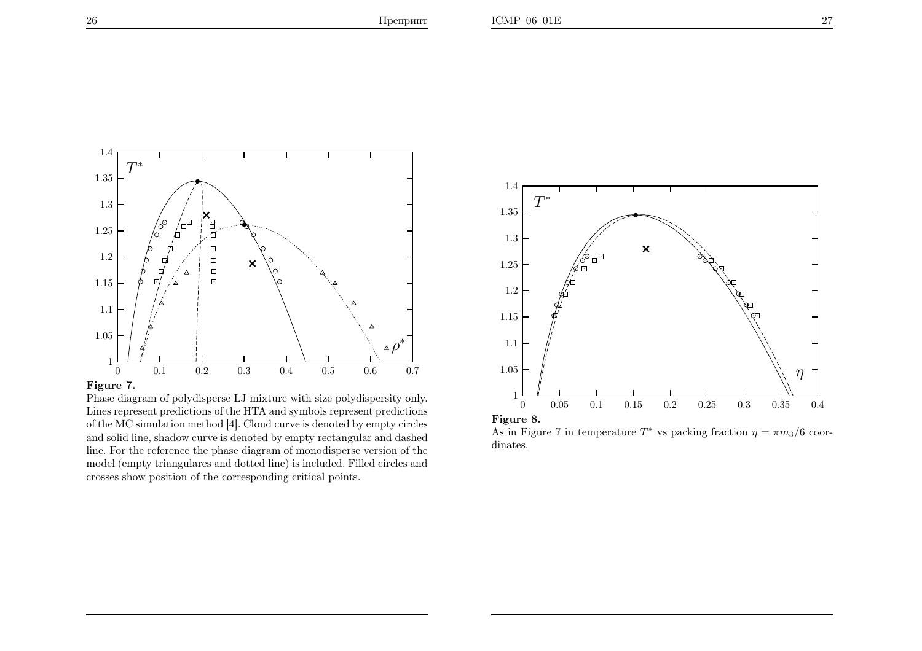

### Figure 7.

Phase diagram of polydisperse LJ mixture with size polydispersity only. Lines represent predictions of the HTA and symbols represent predictions of the MC simulation method [4]. Cloud curve is denoted by empty circles and solid line, shadow curve is denoted by empty rectangular and dashed line. For the reference the <sup>p</sup>hase diagram of monodisperse version of the model (empty triangulares and dotted line) is included. Filled circles andcrosses show position of the corresponding critical points.



As in Figure 7 in temperature  $T^*$  vs packing fraction  $\eta = \pi m_3/6$  coordinates.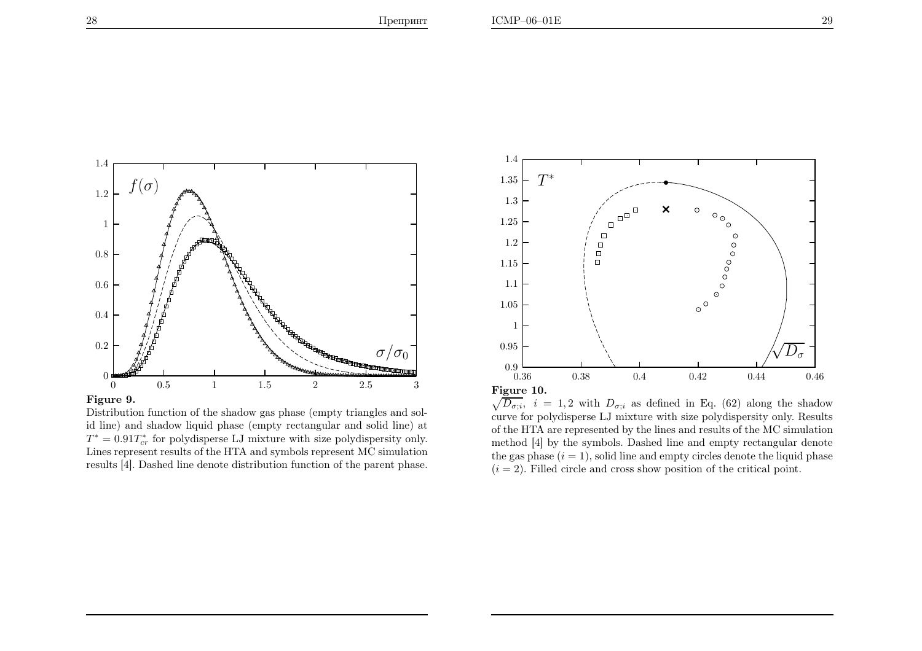

### Figure 9.

Distribution function of the shadow gas <sup>p</sup>hase (empty triangles and solid line) and shadow liquid <sup>p</sup>hase (empty rectangular and solid line) at $T^* = 0.91 T_{cr}^*$  for polydisperse LJ mixture with size polydispersity only. Lines represent results of the HTA and symbols represent MC simulationresults [4]. Dashed line denote distribution function of the parent <sup>p</sup>hase.



 $\sqrt{D_{\sigma;i}}$ ,  $i = 1, 2$  with  $D_{\sigma;i}$  as defined in Eq. (62) along the shadow curve for polydisperse LJ mixture with size polydispersity only. Results of the HTA are represented by the lines and results of the MC simulation method [4] by the symbols. Dashed line and empty rectangular denotethe gas phase  $(i = 1)$ , solid line and empty circles denote the liquid phase  $(i = 2)$ . Filled circle and cross show position of the critical point.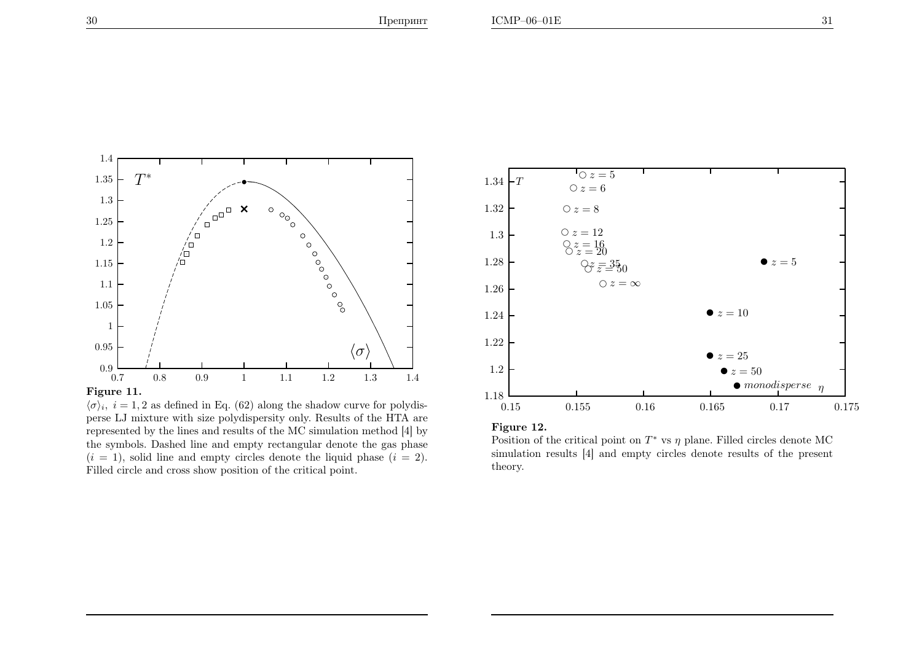

Figure 11.

 $\langle \sigma \rangle_i$ ,  $i = 1, 2$  as defined in Eq. (62) along the shadow curve for polydisperse LJ mixture with size polydispersity only. Results of the HTA are represented by the lines and results of the MC simulation method [4] by the symbols. Dashed line and empty rectangular denote the gas <sup>p</sup>hase $(i = 1)$ , solid line and empty circles denote the liquid phase  $(i = 2)$ . Filled circle and cross show position of the critical point.



Figure 12.

Position of the critical point on  $T^*$  vs  $\eta$  plane. Filled circles denote MC simulation results [4] and empty circles denote results of the presenttheory.